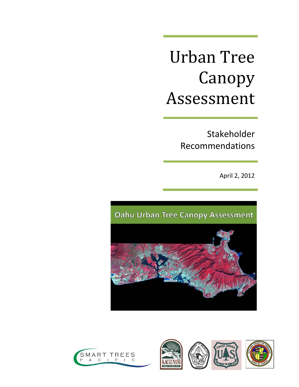# Urban Tree Canopy Assessment

Stakeholder Recommendations

April 2, 2012



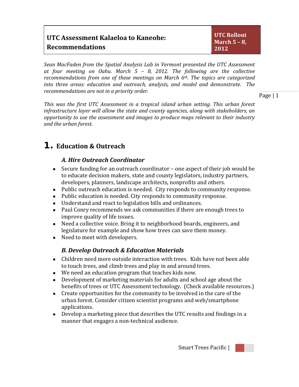| UTC Assessment Kalaeloa to Kaneohe: | UTC Rollout<br>March $5 - 8$ , |
|-------------------------------------|--------------------------------|
| <b>Recommendations</b>              | 2012                           |

*Sean MacFaden from the Spatial Analysis Lab in Vermont presented the UTC Assessment at four meeting on Oahu. March 5 – 8, 2012. The following are the collective recommendations from one of these meetings on March 6th. The topics are categorized into three areas: education and outreach, analysis, and model and demonstrate. The recommendations are not in a priority order.* 

Page | 1

*This was the first UTC Assessment in a tropical island urban setting. This urban forest infrastructure layer will allow the state and county agencies, along with stakeholders, an opportunity to use the assessment and images to produce maps relevant to their industry and the urban forest.*

## **1. Education & Outreach**

### *A. Hire Outreach Coordinator*

- Secure funding for an outreach coordinator one aspect of their job would be to educate decision makers, state and county legislators, industry partners, developers, planners, landscape architects, nonprofits and others.
- Public outreach education is needed. City responds to community response.
- Public education is needed. City responds to community response.
- Understand and react to legislation bills and ordinances.
- Paul Conry recommends we ask communities if there are enough trees to improve quality of life issues.
- Need a collective voice. Bring it to neighborhood boards, engineers, and legislature for example and show how trees can save them money.
- Need to meet with developers.

## *B. Develop Outreach & Education Materials*

- Children need more outside interaction with trees. Kids have not been able to touch trees, and climb trees and play in and around trees.
- We need an education program that teaches kids now.
- Development of marketing materials for adults and school age about the benefits of trees or UTC Assessment technology. (Check available resources.)
- Create opportunities for the community to be involved in the care of the urban forest. Consider citizen scientist programs and web/smartphone applications.
- Develop a marketing piece that describes the UTC results and findings in a manner that engages a non-technical audience.

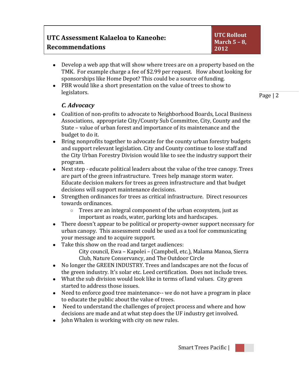- Develop a web app that will show where trees are on a property based on the TMK. For example charge a fee of \$2.99 per request. How about looking for sponsorships like Home Depot? This could be a source of funding.
- PBR would like a short presentation on the value of trees to show to legislators.

Page | 2

## *C. Advocacy*

- Coalition of non-profits to advocate to Neighborhood Boards, Local Business Associations, appropriate City/County Sub Committee, City, County and the State – value of urban forest and importance of its maintenance and the budget to do it.
- Bring nonprofits together to advocate for the county urban forestry budgets and support relevant legislation. City and County continue to lose staff and the City Urban Forestry Division would like to see the industry support their program.
- Next step educate political leaders about the value of the tree canopy. Trees are part of the green infrastructure. Trees help manage storm water. Educate decision makers for trees as green infrastructure and that budget decisions will support maintenance decisions.
- Strengthen ordinances for trees as critical infrastructure. Direct resources towards ordinances.
	- Trees are an integral component of the urban ecosystem, just as important as roads, water, parking lots and hardscapes.
- There doesn't appear to be political or property-owner support necessary for urban canopy. This assessment could be used as a tool for communicating your message and to acquire support.
- Take this show on the road and target audiences:
	- City council, Ewa Kapolei (Campbell, etc.), Malama Manoa, Sierra Club, Nature Conservancy, and The Outdoor Circle
- No longer the GREEN INDUSTRY. Trees and landscapes are not the focus of the green industry. It's solar etc. Leed certification. Does not include trees.
- What the sub division would look like in terms of land values. City green started to address those issues.
- Need to enforce good tree maintenance-- we do not have a program in place to educate the public about the value of trees.
- Need to understand the challenges of project process and where and how decisions are made and at what step does the UF industry get involved.
- John Whalen is working with city on new rules.

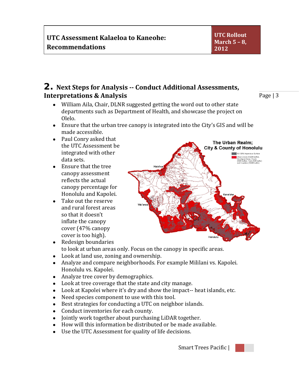## **2. Next Steps for Analysis -- Conduct Additional Assessments, Interpretations & Analysis**

Page | 3

- William Aila, Chair, DLNR suggested getting the word out to other state departments such as Department of Health, and showcase the project on Olelo.
- Ensure that the urban tree canopy is integrated into the City's GIS and will be made accessible.
- Paul Conry asked that the UTC Assessment be integrated with other data sets.
- Ensure that the tree canopy assessment reflects the actual canopy percentage for Honolulu and Kapolei.
- Take out the reserve and rural forest areas so that it doesn't inflate the canopy cover (47% canopy cover is too high).
- Redesign boundaries
- to look at urban areas only. Focus on the canopy in specific areas.
- Look at land use, zoning and ownership.
- Analyze and compare neighborhoods. For example Mililani vs. Kapolei. Honolulu vs. Kapolei.
- Analyze tree cover by demographics.
- Look at tree coverage that the state and city manage.
- Look at Kapolei where it's dry and show the impact-- heat islands, etc.
- Need species component to use with this tool.
- Best strategies for conducting a UTC on neighbor islands.
- Conduct inventories for each county.
- Jointly work together about purchasing LiDAR together.
- How will this information be distributed or be made available.
- Use the UTC Assessment for quality of life decisions.





The Urban Realm: **City & County of Honolulu** Zones (1320ft buffer)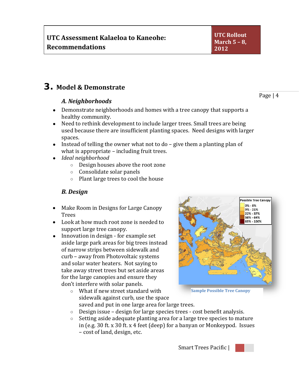## **3. Model & Demonstrate**

#### *A. Neighborhoods*

- Demonstrate neighborhoods and homes with a tree canopy that supports a healthy community.
- Need to rethink development to include larger trees. Small trees are being used because there are insufficient planting spaces. Need designs with larger spaces.
- Instead of telling the owner what not to do give them a planting plan of what is appropriate – including fruit trees.
- *Ideal neighborhood*
	- Design houses above the root zone
	- Consolidate solar panels
	- Plant large trees to cool the house

### *B. Design*

- Make Room in Designs for Large Canopy Trees
- Look at how much root zone is needed to support large tree canopy.
- Innovation in design for example set aside large park areas for big trees instead of narrow strips between sidewalk and curb – away from Photovoltaic systems and solar water heaters. Not saying to take away street trees but set aside areas for the large canopies and ensure they don't interfere with solar panels.
- $9% 21%$  $22\% - 37\%$ 38% - 64% 65% - 100% **Sample Possible Tree Canopy**
- What if new street standard with sidewalk against curb, use the space saved and put in one large area for large trees.
- 
- Design issue design for large species trees cost benefit analysis.<br>○ Setting aside adequate planting area for a large tree species to mati Setting aside adequate planting area for a large tree species to mature in (e.g. 30 ft. x 30 ft. x 4 feet (deep) for a banyan or Monkeypod. Issues – cost of land, design, etc.

Smart Trees Pacific |



Page | 4

**Possible Tree Canopy**  $0\% - 8\%$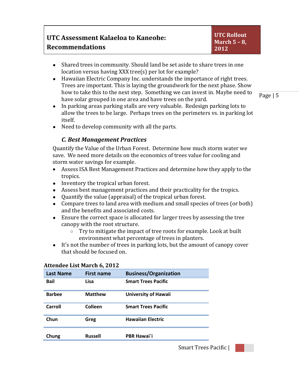| UTC Assessment Kalaeloa to Kaneohe: |
|-------------------------------------|
| <b>Recommendations</b>              |

- Shared trees in community. Should land be set aside to share trees in one location versus having XXX tree(s) per lot for example?
- Hawaiian Electric Company Inc. understands the importance of right trees. Trees are important. This is laying the groundwork for the next phase. Show how to take this to the next step. Something we can invest in. Maybe need to have solar grouped in one area and have trees on the yard.

Page | 5

- In parking areas parking stalls are very valuable. Redesign parking lots to allow the trees to be large. Perhaps trees on the perimeters vs. in parking lot itself.
- Need to develop community with all the parts.

#### *C. Best Management Practices*

Quantify the Value of the Urban Forest. Determine how much storm water we save. We need more details on the economics of trees value for cooling and storm water savings for example.

- Assess ISA Best Management Practices and determine how they apply to the tropics.
- Inventory the tropical urban forest.
- Assess best management practices and their practicality for the tropics.
- Quantify the value (appraisal) of the tropical urban forest.
- Compare trees to land area with medium and small species of trees (or both) and the benefits and associated costs.
- Ensure the correct space is allocated for larger trees by assessing the tree canopy with the root structure.<br>  $\circ$  Trv to mitigate the impacture.
	- Try to mitigate the impact of tree roots for example. Look at built environment what percentage of trees in planters.
- It's not the number of trees in parking lots, but the amount of canopy cover that should be focused on.

#### **Attendee List March 6, 2012**

| <b>Last Name</b> | <b>First name</b> | <b>Business/Organization</b> |
|------------------|-------------------|------------------------------|
| <b>Bail</b>      | Lisa              | <b>Smart Trees Pacific</b>   |
| <b>Barbee</b>    | <b>Matthew</b>    | <b>University of Hawaii</b>  |
| Carroll          | Colleen           | <b>Smart Trees Pacific</b>   |
| Chun             | Greg              | <b>Hawaiian Electric</b>     |
| Chung            | <b>Russell</b>    | <b>PBR Hawai</b> 'i          |

Smart Trees Pacific |

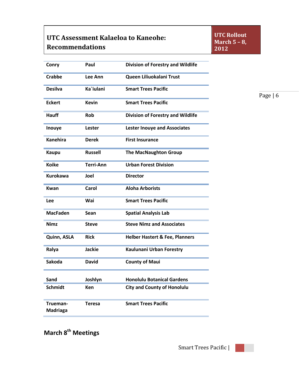## **UTC Assessment Kalaeloa to Kaneohe: Recommendations**

**UTC Rollout March 5 – 8, 2012**

| Conry                | Paul             | <b>Division of Forestry and Wildlife</b>  |
|----------------------|------------------|-------------------------------------------|
| Crabbe               | Lee Ann          | Queen Liliuokalani Trust                  |
| <b>Desilva</b>       | Ka`iulani        | <b>Smart Trees Pacific</b>                |
| <b>Eckert</b>        | <b>Kevin</b>     | <b>Smart Trees Pacific</b>                |
| <b>Hauff</b>         | <b>Rob</b>       | <b>Division of Forestry and Wildlife</b>  |
| Inouye               | Lester           | <b>Lester Inouye and Associates</b>       |
| <b>Kanehira</b>      | <b>Derek</b>     | <b>First Insurance</b>                    |
| <b>Kaupu</b>         | <b>Russell</b>   | <b>The MacNaughton Group</b>              |
| <b>Koike</b>         | <b>Terri-Ann</b> | <b>Urban Forest Division</b>              |
| <b>Kurokawa</b>      | Joel             | <b>Director</b>                           |
| Kwan                 | Carol            | <b>Aloha Arborists</b>                    |
| Lee                  | Wai              | <b>Smart Trees Pacific</b>                |
| <b>MacFaden</b>      | Sean             | <b>Spatial Analysis Lab</b>               |
| <b>Nimz</b>          | <b>Steve</b>     | <b>Steve Nimz and Associates</b>          |
| Quinn, ASLA          | <b>Rick</b>      | <b>Helber Hastert &amp; Fee, Planners</b> |
| Ralya                | <b>Jackie</b>    | Kaulunani Urban Forestry                  |
| <b>Sakoda</b>        | <b>David</b>     | <b>County of Maui</b>                     |
| Sand                 | Joshlyn          | <b>Honolulu Botanical Gardens</b>         |
| <b>Schmidt</b>       | <b>Ken</b>       | <b>City and County of Honolulu</b>        |
| Trueman-<br>Madriaga | <b>Teresa</b>    | <b>Smart Trees Pacific</b>                |

Page | 6

**March 8<sup>th</sup> Meetings** 

Smart Trees Pacific |